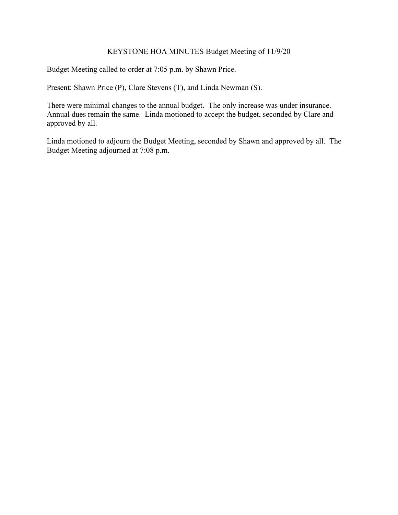# KEYSTONE HOA MINUTES Budget Meeting of 11/9/20

Budget Meeting called to order at 7:05 p.m. by Shawn Price.

Present: Shawn Price (P), Clare Stevens (T), and Linda Newman (S).

There were minimal changes to the annual budget. The only increase was under insurance. Annual dues remain the same. Linda motioned to accept the budget, seconded by Clare and approved by all.

Linda motioned to adjourn the Budget Meeting, seconded by Shawn and approved by all. The Budget Meeting adjourned at 7:08 p.m.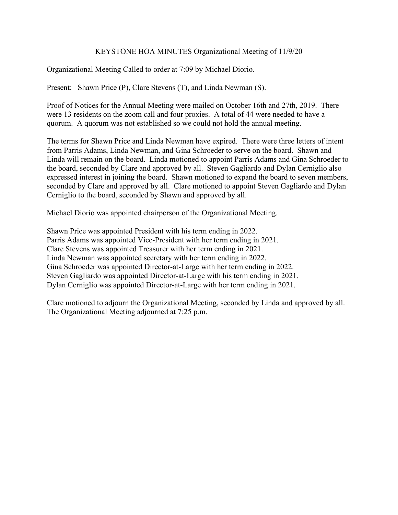## KEYSTONE HOA MINUTES Organizational Meeting of 11/9/20

Organizational Meeting Called to order at 7:09 by Michael Diorio.

Present: Shawn Price (P), Clare Stevens (T), and Linda Newman (S).

Proof of Notices for the Annual Meeting were mailed on October 16th and 27th, 2019. There were 13 residents on the zoom call and four proxies. A total of 44 were needed to have a quorum. A quorum was not established so we could not hold the annual meeting.

The terms for Shawn Price and Linda Newman have expired. There were three letters of intent from Parris Adams, Linda Newman, and Gina Schroeder to serve on the board. Shawn and Linda will remain on the board. Linda motioned to appoint Parris Adams and Gina Schroeder to the board, seconded by Clare and approved by all. Steven Gagliardo and Dylan Cerniglio also expressed interest in joining the board. Shawn motioned to expand the board to seven members, seconded by Clare and approved by all. Clare motioned to appoint Steven Gagliardo and Dylan Cerniglio to the board, seconded by Shawn and approved by all.

Michael Diorio was appointed chairperson of the Organizational Meeting.

Shawn Price was appointed President with his term ending in 2022. Parris Adams was appointed Vice-President with her term ending in 2021. Clare Stevens was appointed Treasurer with her term ending in 2021. Linda Newman was appointed secretary with her term ending in 2022. Gina Schroeder was appointed Director-at-Large with her term ending in 2022. Steven Gagliardo was appointed Director-at-Large with his term ending in 2021. Dylan Cerniglio was appointed Director-at-Large with her term ending in 2021.

Clare motioned to adjourn the Organizational Meeting, seconded by Linda and approved by all. The Organizational Meeting adjourned at 7:25 p.m.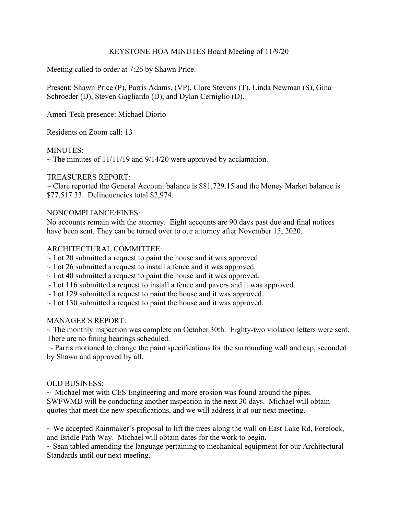## KEYSTONE HOA MINUTES Board Meeting of 11/9/20

Meeting called to order at 7:26 by Shawn Price.

Present: Shawn Price (P), Parris Adams, (VP), Clare Stevens (T), Linda Newman (S), Gina Schroeder (D), Steven Gagliardo (D), and Dylan Cerniglio (D).

Ameri-Tech presence: Michael Diorio

Residents on Zoom call: 13

## MINUTES:

 $\sim$  The minutes of 11/11/19 and 9/14/20 were approved by acclamation.

## TREASURERS REPORT:

 $\sim$  Clare reported the General Account balance is \$81,729.15 and the Money Market balance is \$77,517.33. Delinquencies total \$2,974.

## NONCOMPLIANCE/FINES:

No accounts remain with the attorney. Eight accounts are 90 days past due and final notices have been sent. They can be turned over to our attorney after November 15, 2020.

## ARCHITECTURAL COMMITTEE:

- $\sim$  Lot 20 submitted a request to paint the house and it was approved
- $\sim$  Lot 26 submitted a request to install a fence and it was approved.
- $\sim$  Lot 40 submitted a request to paint the house and it was approved.
- $\sim$  Lot 116 submitted a request to install a fence and pavers and it was approved.
- $\sim$  Lot 129 submitted a request to paint the house and it was approved.
- $\sim$  Lot 130 submitted a request to paint the house and it was approved.

#### MANAGER'S REPORT:

 $\sim$  The monthly inspection was complete on October 30th. Eighty-two violation letters were sent. There are no fining hearings scheduled.

 $\sim$  Parris motioned to change the paint specifications for the surrounding wall and cap, seconded by Shawn and approved by all.

#### OLD BUSINESS:

 $\sim$  Michael met with CES Engineering and more erosion was found around the pipes. SWFWMD will be conducting another inspection in the next 30 days. Michael will obtain quotes that meet the new specifications, and we will address it at our next meeting.

 $\sim$  We accepted Rainmaker's proposal to lift the trees along the wall on East Lake Rd, Forelock, and Bridle Path Way. Michael will obtain dates for the work to begin.

 $\sim$  Sean tabled amending the language pertaining to mechanical equipment for our Architectural Standards until our next meeting.